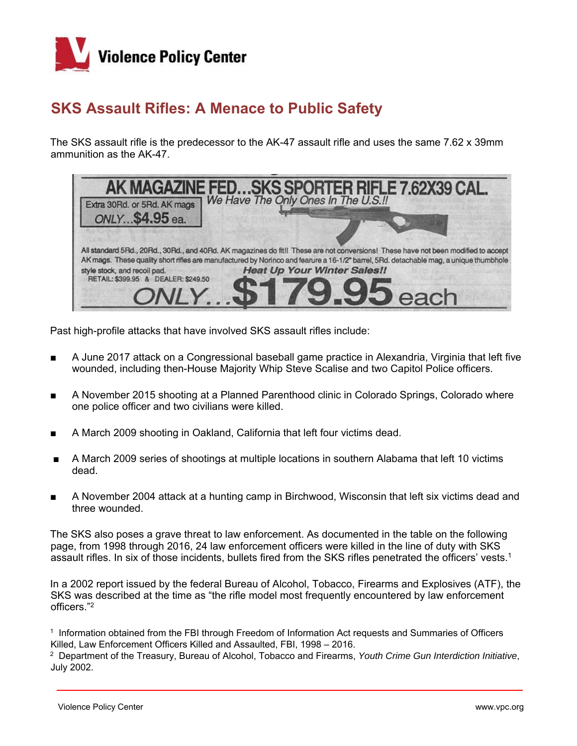

## **SKS Assault Rifles: A Menace to Public Safety**

The SKS assault rifle is the predecessor to the AK-47 assault rifle and uses the same 7.62 x 39mm ammunition as the AK-47.

|                                     | <b>AK MAGAZINE FEDSKS SPORTER RIFLE 7.62X39 CAL.</b><br>30Bd. or 5Bd. AK mags   We Have The Only Ones In The U.S.II                                                         |
|-------------------------------------|-----------------------------------------------------------------------------------------------------------------------------------------------------------------------------|
| Extra 30Rd. or 5Rd. AK mags         |                                                                                                                                                                             |
| ONLY\$4.95 ea.                      |                                                                                                                                                                             |
|                                     |                                                                                                                                                                             |
|                                     | All standard 5Rd., 20Rd., 30Rd., and 40Rd. AK magazines do fit!! These are not conversions! These have not been modified to accept                                          |
| style stock, and recoil pad.        | AK mags. These quality short rifles are manufactured by Norinco and fearure a 16-1/2" barrel, 5Rd. detachable mag, a unique thumbhole<br><b>Heat Up Your Winter Sales!!</b> |
| RETAIL: \$399.95 & DEALER: \$249.50 |                                                                                                                                                                             |
|                                     | ONLY. \$179.95 each                                                                                                                                                         |
|                                     |                                                                                                                                                                             |

Past high-profile attacks that have involved SKS assault rifles include:

- A June 2017 attack on a Congressional baseball game practice in Alexandria, Virginia that left five wounded, including then-House Majority Whip Steve Scalise and two Capitol Police officers.
- A November 2015 shooting at a Planned Parenthood clinic in Colorado Springs, Colorado where one police officer and two civilians were killed.
- A March 2009 shooting in Oakland, California that left four victims dead.
- A March 2009 series of shootings at multiple locations in southern Alabama that left 10 victims dead.
- A November 2004 attack at a hunting camp in Birchwood, Wisconsin that left six victims dead and three wounded.

The SKS also poses a grave threat to law enforcement. As documented in the table on the following page, from 1998 through 2016, 24 law enforcement officers were killed in the line of duty with SKS assault rifles. In six of those incidents, bullets fired from the SKS rifles penetrated the officers' vests.1

In a 2002 report issued by the federal Bureau of Alcohol, Tobacco, Firearms and Explosives (ATF), the SKS was described at the time as "the rifle model most frequently encountered by law enforcement officers."2

1 Information obtained from the FBI through Freedom of Information Act requests and Summaries of Officers Killed, Law Enforcement Officers Killed and Assaulted, FBI, 1998 – 2016.

2 Department of the Treasury, Bureau of Alcohol, Tobacco and Firearms, *Youth Crime Gun Interdiction Initiative*, July 2002.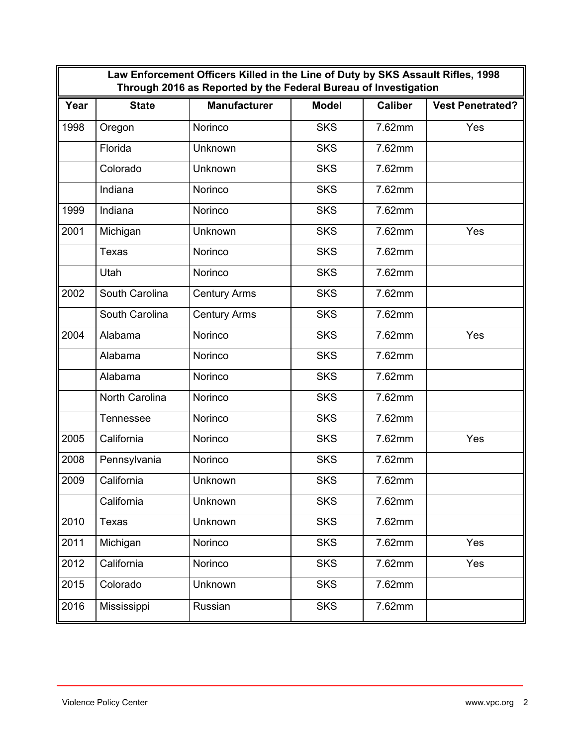| Law Enforcement Officers Killed in the Line of Duty by SKS Assault Rifles, 1998<br>Through 2016 as Reported by the Federal Bureau of Investigation |                  |                     |              |                |                         |  |
|----------------------------------------------------------------------------------------------------------------------------------------------------|------------------|---------------------|--------------|----------------|-------------------------|--|
| Year                                                                                                                                               | <b>State</b>     | <b>Manufacturer</b> | <b>Model</b> | <b>Caliber</b> | <b>Vest Penetrated?</b> |  |
| 1998                                                                                                                                               | Oregon           | Norinco             | <b>SKS</b>   | 7.62mm         | Yes                     |  |
|                                                                                                                                                    | Florida          | Unknown             | <b>SKS</b>   | 7.62mm         |                         |  |
|                                                                                                                                                    | Colorado         | Unknown             | <b>SKS</b>   | 7.62mm         |                         |  |
|                                                                                                                                                    | Indiana          | Norinco             | <b>SKS</b>   | 7.62mm         |                         |  |
| 1999                                                                                                                                               | Indiana          | Norinco             | <b>SKS</b>   | 7.62mm         |                         |  |
| 2001                                                                                                                                               | Michigan         | Unknown             | <b>SKS</b>   | 7.62mm         | Yes                     |  |
|                                                                                                                                                    | <b>Texas</b>     | Norinco             | <b>SKS</b>   | 7.62mm         |                         |  |
|                                                                                                                                                    | Utah             | Norinco             | <b>SKS</b>   | 7.62mm         |                         |  |
| 2002                                                                                                                                               | South Carolina   | <b>Century Arms</b> | <b>SKS</b>   | 7.62mm         |                         |  |
|                                                                                                                                                    | South Carolina   | <b>Century Arms</b> | <b>SKS</b>   | 7.62mm         |                         |  |
| 2004                                                                                                                                               | Alabama          | Norinco             | <b>SKS</b>   | 7.62mm         | Yes                     |  |
|                                                                                                                                                    | Alabama          | Norinco             | <b>SKS</b>   | 7.62mm         |                         |  |
|                                                                                                                                                    | Alabama          | Norinco             | <b>SKS</b>   | 7.62mm         |                         |  |
|                                                                                                                                                    | North Carolina   | Norinco             | <b>SKS</b>   | 7.62mm         |                         |  |
|                                                                                                                                                    | <b>Tennessee</b> | Norinco             | <b>SKS</b>   | 7.62mm         |                         |  |
| 2005                                                                                                                                               | California       | Norinco             | <b>SKS</b>   | 7.62mm         | Yes                     |  |
| 2008                                                                                                                                               | Pennsylvania     | Norinco             | <b>SKS</b>   | 7.62mm         |                         |  |
| 2009                                                                                                                                               | California       | Unknown             | <b>SKS</b>   | 7.62mm         |                         |  |
|                                                                                                                                                    | California       | Unknown             | <b>SKS</b>   | 7.62mm         |                         |  |
| 2010                                                                                                                                               | Texas            | Unknown             | <b>SKS</b>   | 7.62mm         |                         |  |
| 2011                                                                                                                                               | Michigan         | Norinco             | <b>SKS</b>   | 7.62mm         | Yes                     |  |
| 2012                                                                                                                                               | California       | Norinco             | <b>SKS</b>   | 7.62mm         | Yes                     |  |
| 2015                                                                                                                                               | Colorado         | Unknown             | <b>SKS</b>   | 7.62mm         |                         |  |
| 2016                                                                                                                                               | Mississippi      | Russian             | <b>SKS</b>   | 7.62mm         |                         |  |